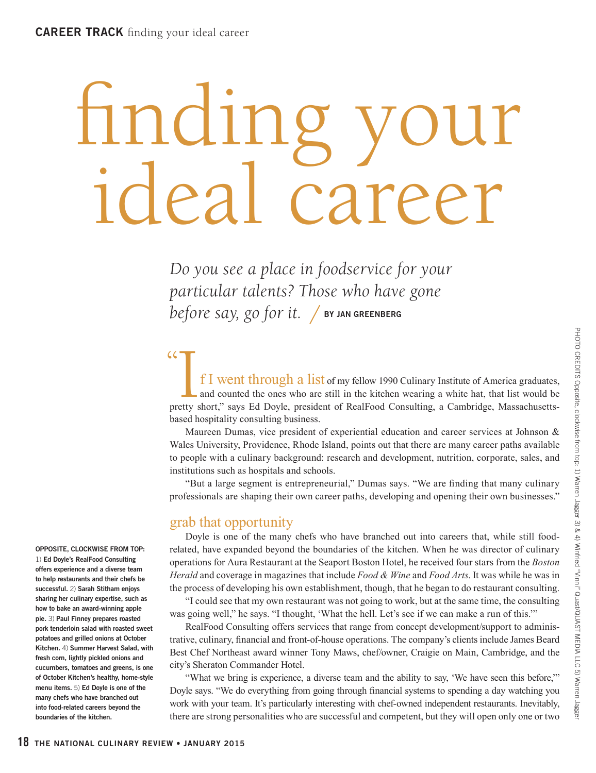# finding your ideal career

*Do you see a place in foodservice for your particular talents? Those who have gone before say, go for it.* **By Jan Greenberg**

### $\zeta \zeta$

f I went through a list of my fellow 1990 Culinary Institute of America graduates, and counted the ones who are still in the kitchen wearing a white hat, that list would be f I went through a list of my fellow 1990 Culinary Institute of America graduates,<br>and counted the ones who are still in the kitchen wearing a white hat, that list would be<br>pretty short," says Ed Doyle, president of RealFo based hospitality consulting business.

Maureen Dumas, vice president of experiential education and career services at Johnson & Wales University, Providence, Rhode Island, points out that there are many career paths available to people with a culinary background: research and development, nutrition, corporate, sales, and institutions such as hospitals and schools.

 "But a large segment is entrepreneurial," Dumas says. "We are finding that many culinary professionals are shaping their own career paths, developing and opening their own businesses."

### grab that opportunity

Doyle is one of the many chefs who have branched out into careers that, while still foodrelated, have expanded beyond the boundaries of the kitchen. When he was director of culinary operations for Aura Restaurant at the Seaport Boston Hotel, he received four stars from the *Boston Herald* and coverage in magazines that include *Food & Wine* and *Food Arts*. It was while he was in the process of developing his own establishment, though, that he began to do restaurant consulting.

"I could see that my own restaurant was not going to work, but at the same time, the consulting was going well," he says. "I thought, 'What the hell. Let's see if we can make a run of this.'"

RealFood Consulting offers services that range from concept development/support to administrative, culinary, financial and front-of-house operations. The company's clients include James Beard Best Chef Northeast award winner Tony Maws, chef/owner, Craigie on Main, Cambridge, and the city's Sheraton Commander Hotel.

"What we bring is experience, a diverse team and the ability to say, 'We have seen this before,'" Doyle says. "We do everything from going through financial systems to spending a day watching you work with your team. It's particularly interesting with chef-owned independent restaurants. Inevitably, there are strong personalities who are successful and competent, but they will open only one or two PHOTO CREDITS Opposite, clockwise from top: 1) Warren Jagger 3) & 4) Winfried "Vinni" Quast/QUAST MEDIA LLC 5) Warren Jagger

PHOTO CREDITS Opposite, clockwise from top: 1) Warren Jagger 3) & 4) Winfried "Vinni" Quast/QUAST MEDIA LLC 5) Warren Jagger

**Opposite, clockwise from top:** 1) **Ed Doyle's RealFood Consulting offers experience and a diverse team to help restaurants and their chefs be successful.** 2) **Sarah Stitham enjoys sharing her culinary expertise, such as how to bake an award-winning apple pie.** 3) **Paul Finney prepares roasted pork tenderloin salad with roasted sweet potatoes and grilled onions at October Kitchen.** 4) **Summer Harvest Salad, with fresh corn, lightly pickled onions and cucumbers, tomatoes and greens, is one of October Kitchen's healthy, home-style menu items.** 5) **Ed Doyle is one of the many chefs who have branched out into food-related careers beyond the boundaries of the kitchen.**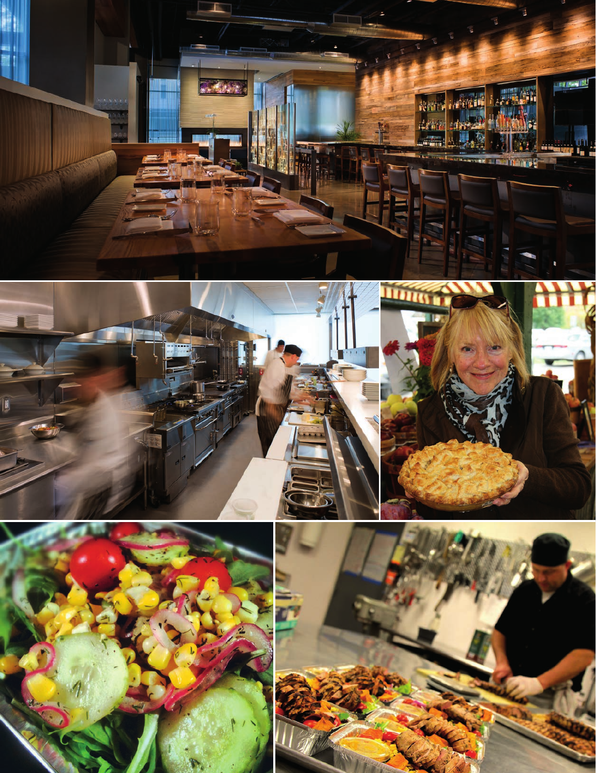



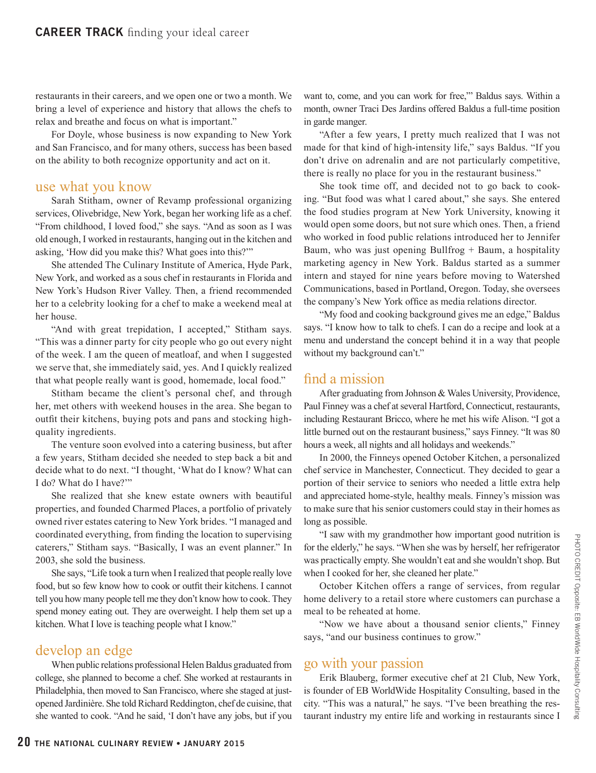restaurants in their careers, and we open one or two a month. We bring a level of experience and history that allows the chefs to relax and breathe and focus on what is important."

For Doyle, whose business is now expanding to New York and San Francisco, and for many others, success has been based on the ability to both recognize opportunity and act on it.

### use what you know

Sarah Stitham, owner of Revamp professional organizing services, Olivebridge, New York, began her working life as a chef. "From childhood, I loved food," she says. "And as soon as I was old enough, I worked in restaurants, hanging out in the kitchen and asking, 'How did you make this? What goes into this?'"

 She attended The Culinary Institute of America, Hyde Park, New York, and worked as a sous chef in restaurants in Florida and New York's Hudson River Valley. Then, a friend recommended her to a celebrity looking for a chef to make a weekend meal at her house.

"And with great trepidation, I accepted," Stitham says. "This was a dinner party for city people who go out every night of the week. I am the queen of meatloaf, and when I suggested we serve that, she immediately said, yes. And I quickly realized that what people really want is good, homemade, local food."

Stitham became the client's personal chef, and through her, met others with weekend houses in the area. She began to outfit their kitchens, buying pots and pans and stocking highquality ingredients.

 The venture soon evolved into a catering business, but after a few years, Stitham decided she needed to step back a bit and decide what to do next. "I thought, 'What do I know? What can I do? What do I have?'"

She realized that she knew estate owners with beautiful properties, and founded Charmed Places, a portfolio of privately owned river estates catering to New York brides. "I managed and coordinated everything, from finding the location to supervising caterers," Stitham says. "Basically, I was an event planner." In 2003, she sold the business.

She says, "Life took a turn when I realized that people really love food, but so few know how to cook or outfit their kitchens. I cannot tell you how many people tell me they don't know how to cook. They spend money eating out. They are overweight. I help them set up a kitchen. What I love is teaching people what I know."

# develop an edge

When public relations professional Helen Baldus graduated from college, she planned to become a chef. She worked at restaurants in Philadelphia, then moved to San Francisco, where she staged at justopened Jardinière. She told Richard Reddington, chef de cuisine, that she wanted to cook. "And he said, 'I don't have any jobs, but if you want to, come, and you can work for free,'" Baldus says. Within a month, owner Traci Des Jardins offered Baldus a full-time position in garde manger.

"After a few years, I pretty much realized that I was not made for that kind of high-intensity life," says Baldus. "If you don't drive on adrenalin and are not particularly competitive, there is really no place for you in the restaurant business."

She took time off, and decided not to go back to cooking. "But food was what l cared about," she says. She entered the food studies program at New York University, knowing it would open some doors, but not sure which ones. Then, a friend who worked in food public relations introduced her to Jennifer Baum, who was just opening Bullfrog  $+$  Baum, a hospitality marketing agency in New York. Baldus started as a summer intern and stayed for nine years before moving to Watershed Communications, based in Portland, Oregon. Today, she oversees the company's New York office as media relations director.

"My food and cooking background gives me an edge," Baldus says. "I know how to talk to chefs. I can do a recipe and look at a menu and understand the concept behind it in a way that people without my background can't."

## find a mission

After graduating from Johnson & Wales University, Providence, Paul Finney was a chef at several Hartford, Connecticut, restaurants, including Restaurant Bricco, where he met his wife Alison. "I got a little burned out on the restaurant business," says Finney. "It was 80 hours a week, all nights and all holidays and weekends."

In 2000, the Finneys opened October Kitchen, a personalized chef service in Manchester, Connecticut. They decided to gear a portion of their service to seniors who needed a little extra help and appreciated home-style, healthy meals. Finney's mission was to make sure that his senior customers could stay in their homes as long as possible.

"I saw with my grandmother how important good nutrition is for the elderly," he says. "When she was by herself, her refrigerator was practically empty. She wouldn't eat and she wouldn't shop. But when I cooked for her, she cleaned her plate."

October Kitchen offers a range of services, from regular home delivery to a retail store where customers can purchase a meal to be reheated at home.

"Now we have about a thousand senior clients," Finney says, "and our business continues to grow."

# go with your passion

Erik Blauberg, former executive chef at 21 Club, New York, is founder of EB WorldWide Hospitality Consulting, based in the city. "This was a natural," he says. "I've been breathing the restaurant industry my entire life and working in restaurants since I